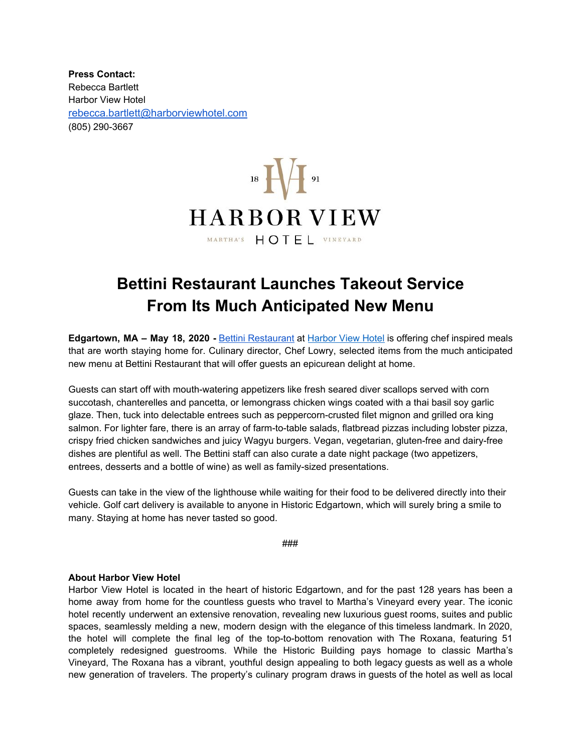**Press Contact:** Rebecca Bartlett Harbor View Hotel [rebecca.bartlett@harborviewhotel.com](mailto:rbartlett@harborviewhotel.com) (805) 290-3667



## **Bettini Restaurant Launches Takeout Service From Its Much Anticipated New Menu**

**Edgartown, MA – May 18, 2020 -** Bettini [Restaurant](https://www.harborviewhotel.com/dining/) at [Harbor](https://www.harborviewhotel.com/) View Hotel is offering chef inspired meals that are worth staying home for. Culinary director, Chef Lowry, selected items from the much anticipated new menu at Bettini Restaurant that will offer guests an epicurean delight at home.

Guests can start off with mouth-watering appetizers like fresh seared diver scallops served with corn succotash, chanterelles and pancetta, or lemongrass chicken wings coated with a thai basil soy garlic glaze. Then, tuck into delectable entrees such as peppercorn-crusted filet mignon and grilled ora king salmon. For lighter fare, there is an array of farm-to-table salads, flatbread pizzas including lobster pizza, crispy fried chicken sandwiches and juicy Wagyu burgers. Vegan, vegetarian, gluten-free and dairy-free dishes are plentiful as well. The Bettini staff can also curate a date night package (two appetizers, entrees, desserts and a bottle of wine) as well as family-sized presentations.

Guests can take in the view of the lighthouse while waiting for their food to be delivered directly into their vehicle. Golf cart delivery is available to anyone in Historic Edgartown, which will surely bring a smile to many. Staying at home has never tasted so good.

###

## **About Harbor View Hotel**

Harbor View Hotel is located in the heart of historic Edgartown, and for the past 128 years has been a home away from home for the countless guests who travel to Martha's Vineyard every year. The iconic hotel recently underwent an extensive renovation, revealing new luxurious guest rooms, suites and public spaces, seamlessly melding a new, modern design with the elegance of this timeless landmark. In 2020, the hotel will complete the final leg of the top-to-bottom renovation with The Roxana, featuring 51 completely redesigned guestrooms. While the Historic Building pays homage to classic Martha's Vineyard, The Roxana has a vibrant, youthful design appealing to both legacy guests as well as a whole new generation of travelers. The property's culinary program draws in guests of the hotel as well as local